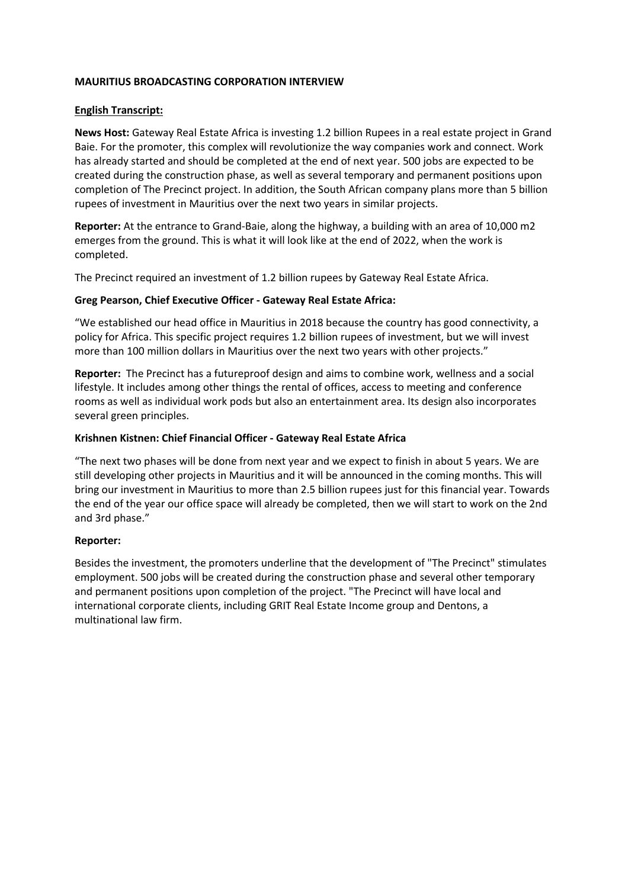## **MAURITIUS BROADCASTING CORPORATION INTERVIEW**

#### **English Transcript:**

**News Host:** Gateway Real Estate Africa is investing 1.2 billion Rupees in a real estate project in Grand Baie. For the promoter, this complex will revolutionize the way companies work and connect. Work has already started and should be completed at the end of next year. 500 jobs are expected to be created during the construction phase, as well as several temporary and permanent positions upon completion of The Precinct project. In addition, the South African company plans more than 5 billion rupees of investment in Mauritius over the next two years in similar projects.

**Reporter:** At the entrance to Grand-Baie, along the highway, a building with an area of 10,000 m2 emerges from the ground. This is what it will look like at the end of 2022, when the work is completed.

The Precinct required an investment of 1.2 billion rupees by Gateway Real Estate Africa.

#### **Greg Pearson, Chief Executive Officer - Gateway Real Estate Africa:**

"We established our head office in Mauritius in 2018 because the country has good connectivity, a policy for Africa. This specific project requires 1.2 billion rupees of investment, but we will invest more than 100 million dollars in Mauritius over the next two years with other projects."

**Reporter:** The Precinct has a futureproof design and aims to combine work, wellness and a social lifestyle. It includes among other things the rental of offices, access to meeting and conference rooms as well as individual work pods but also an entertainment area. Its design also incorporates several green principles.

#### **Krishnen Kistnen: Chief Financial Officer - Gateway Real Estate Africa**

"The next two phases will be done from next year and we expect to finish in about 5 years. We are still developing other projects in Mauritius and it will be announced in the coming months. This will bring our investment in Mauritius to more than 2.5 billion rupees just for this financial year. Towards the end of the year our office space will already be completed, then we will start to work on the 2nd and 3rd phase."

#### **Reporter:**

Besides the investment, the promoters underline that the development of "The Precinct" stimulates employment. 500 jobs will be created during the construction phase and several other temporary and permanent positions upon completion of the project. "The Precinct will have local and international corporate clients, including GRIT Real Estate Income group and Dentons, a multinational law firm.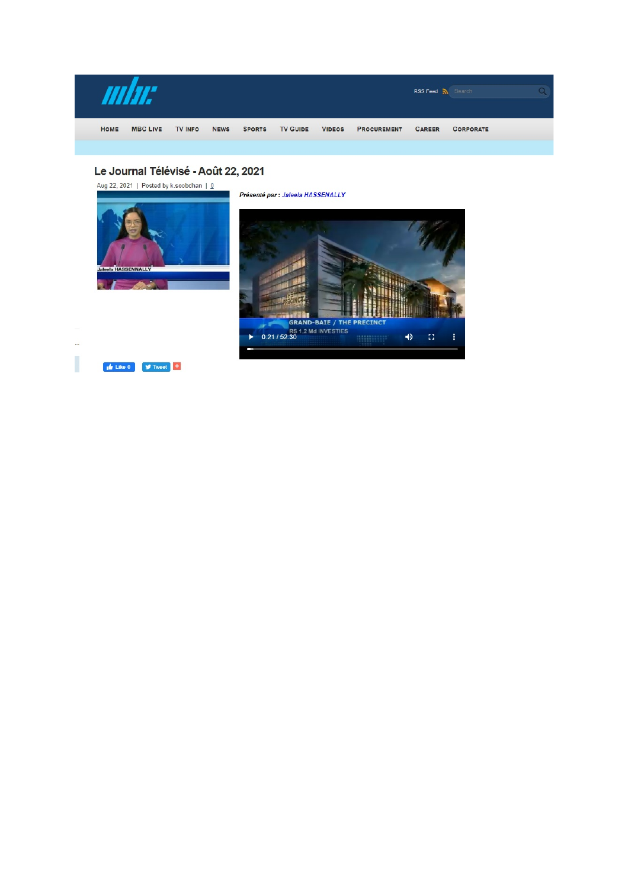

# Le Journal Télévisé - Août 22, 2021

Aug 22, 2021 | Posted by k.soobdhan |  $Q$ 



 $\bullet$  Like 0  $\bullet$  Tweet  $\bullet$ 

Présenté par : Jaleela HASSENALLY



I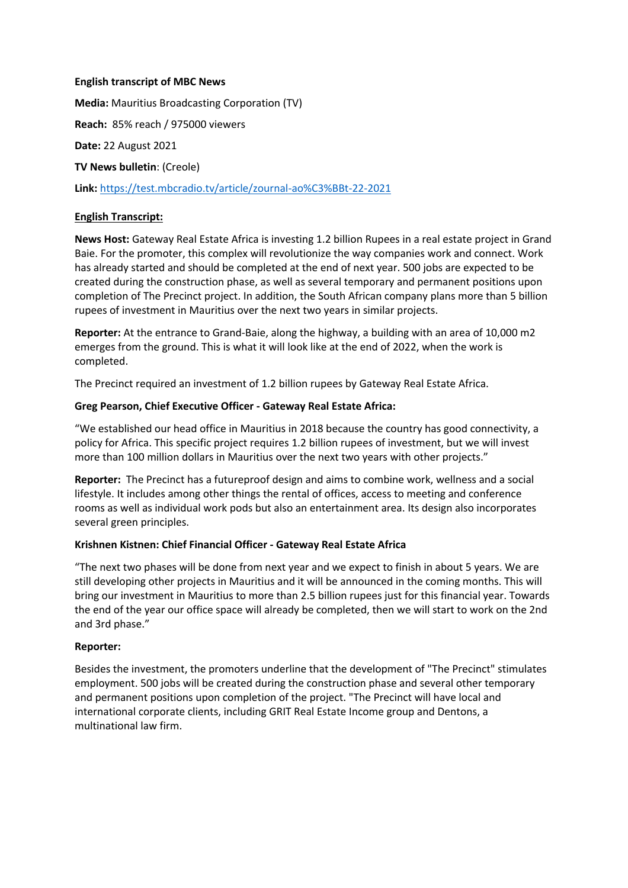## **English transcript of MBC News**

**Media:** Mauritius Broadcasting Corporation (TV)

**Reach:** 85% reach / 975000 viewers

**Date:** 22 August 2021

**TV News bulletin**: (Creole)

**Link:** https://test.mbcradio.tv/article/zournal-ao%C3%BBt-22-2021

## **English Transcript:**

**News Host:** Gateway Real Estate Africa is investing 1.2 billion Rupees in a real estate project in Grand Baie. For the promoter, this complex will revolutionize the way companies work and connect. Work has already started and should be completed at the end of next year. 500 jobs are expected to be created during the construction phase, as well as several temporary and permanent positions upon completion of The Precinct project. In addition, the South African company plans more than 5 billion rupees of investment in Mauritius over the next two years in similar projects.

**Reporter:** At the entrance to Grand-Baie, along the highway, a building with an area of 10,000 m2 emerges from the ground. This is what it will look like at the end of 2022, when the work is completed.

The Precinct required an investment of 1.2 billion rupees by Gateway Real Estate Africa.

## **Greg Pearson, Chief Executive Officer - Gateway Real Estate Africa:**

"We established our head office in Mauritius in 2018 because the country has good connectivity, a policy for Africa. This specific project requires 1.2 billion rupees of investment, but we will invest more than 100 million dollars in Mauritius over the next two years with other projects."

**Reporter:** The Precinct has a futureproof design and aims to combine work, wellness and a social lifestyle. It includes among other things the rental of offices, access to meeting and conference rooms as well as individual work pods but also an entertainment area. Its design also incorporates several green principles.

#### **Krishnen Kistnen: Chief Financial Officer - Gateway Real Estate Africa**

"The next two phases will be done from next year and we expect to finish in about 5 years. We are still developing other projects in Mauritius and it will be announced in the coming months. This will bring our investment in Mauritius to more than 2.5 billion rupees just for this financial year. Towards the end of the year our office space will already be completed, then we will start to work on the 2nd and 3rd phase."

#### **Reporter:**

Besides the investment, the promoters underline that the development of "The Precinct" stimulates employment. 500 jobs will be created during the construction phase and several other temporary and permanent positions upon completion of the project. "The Precinct will have local and international corporate clients, including GRIT Real Estate Income group and Dentons, a multinational law firm.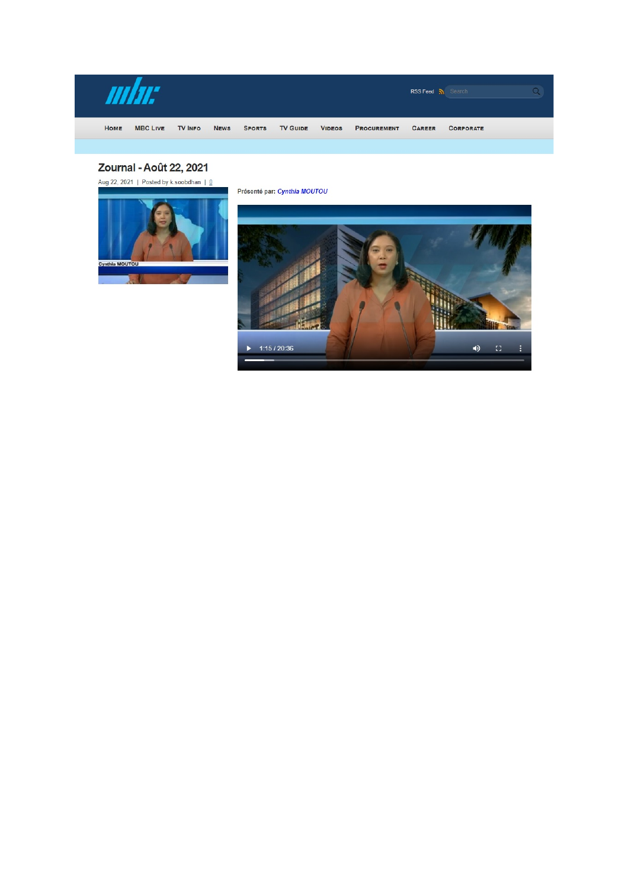

# Zournal - Août 22, 2021

Aug 22, 2021 | Posted by k.soobdhan |  $Q$ 



Présenté par: Cynthia MOUTOU

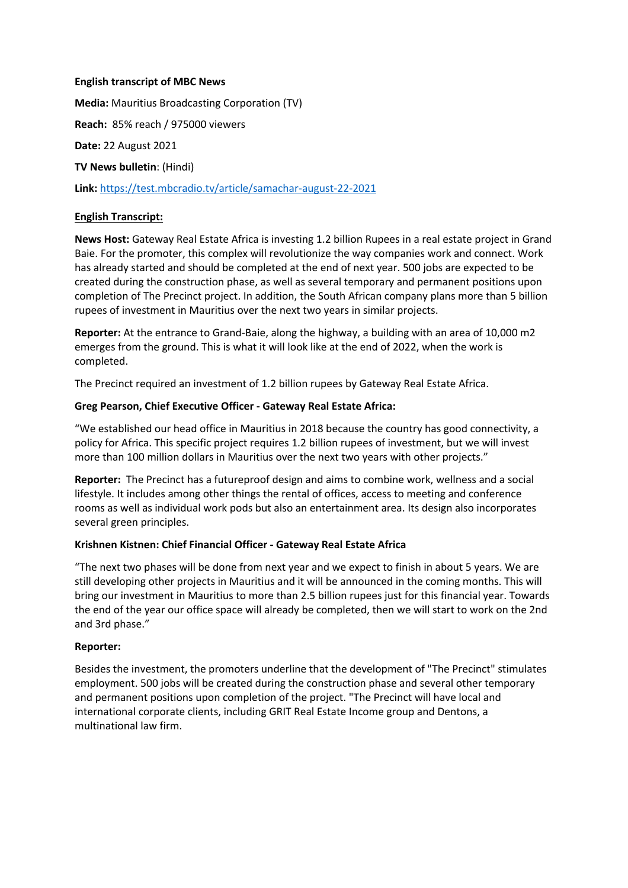## **English transcript of MBC News**

**Media:** Mauritius Broadcasting Corporation (TV)

**Reach:** 85% reach / 975000 viewers

**Date:** 22 August 2021

**TV News bulletin**: (Hindi)

**Link:** https://test.mbcradio.tv/article/samachar-august-22-2021

## **English Transcript:**

**News Host:** Gateway Real Estate Africa is investing 1.2 billion Rupees in a real estate project in Grand Baie. For the promoter, this complex will revolutionize the way companies work and connect. Work has already started and should be completed at the end of next year. 500 jobs are expected to be created during the construction phase, as well as several temporary and permanent positions upon completion of The Precinct project. In addition, the South African company plans more than 5 billion rupees of investment in Mauritius over the next two years in similar projects.

**Reporter:** At the entrance to Grand-Baie, along the highway, a building with an area of 10,000 m2 emerges from the ground. This is what it will look like at the end of 2022, when the work is completed.

The Precinct required an investment of 1.2 billion rupees by Gateway Real Estate Africa.

## **Greg Pearson, Chief Executive Officer - Gateway Real Estate Africa:**

"We established our head office in Mauritius in 2018 because the country has good connectivity, a policy for Africa. This specific project requires 1.2 billion rupees of investment, but we will invest more than 100 million dollars in Mauritius over the next two years with other projects."

**Reporter:** The Precinct has a futureproof design and aims to combine work, wellness and a social lifestyle. It includes among other things the rental of offices, access to meeting and conference rooms as well as individual work pods but also an entertainment area. Its design also incorporates several green principles.

#### **Krishnen Kistnen: Chief Financial Officer - Gateway Real Estate Africa**

"The next two phases will be done from next year and we expect to finish in about 5 years. We are still developing other projects in Mauritius and it will be announced in the coming months. This will bring our investment in Mauritius to more than 2.5 billion rupees just for this financial year. Towards the end of the year our office space will already be completed, then we will start to work on the 2nd and 3rd phase."

#### **Reporter:**

Besides the investment, the promoters underline that the development of "The Precinct" stimulates employment. 500 jobs will be created during the construction phase and several other temporary and permanent positions upon completion of the project. "The Precinct will have local and international corporate clients, including GRIT Real Estate Income group and Dentons, a multinational law firm.